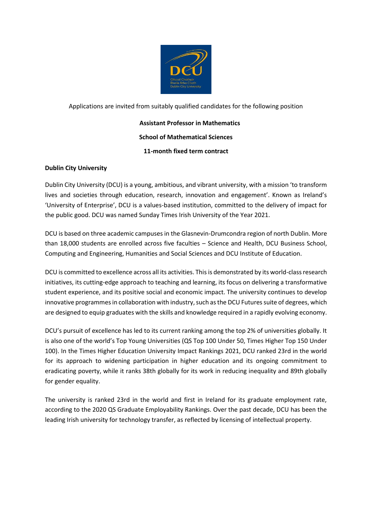

## Applications are invited from suitably qualified candidates for the following position

# **Assistant Professor in Mathematics School of Mathematical Sciences 11-month fixed term contract**

## **Dublin City University**

Dublin City University (DCU) is a young, ambitious, and vibrant university, with a mission 'to transform lives and societies through education, research, innovation and engagement'. Known as Ireland's 'University of Enterprise', DCU is a values-based institution, committed to the delivery of impact for the public good. DCU was named Sunday Times Irish University of the Year 2021.

DCU is based on three academic campuses in the Glasnevin-Drumcondra region of north Dublin. More than 18,000 students are enrolled across five faculties – Science and Health, DCU Business School, Computing and Engineering, Humanities and Social Sciences and DCU Institute of Education.

DCU is committed to excellence across all its activities. This is demonstrated by its world-class research initiatives, its cutting-edge approach to teaching and learning, its focus on delivering a transformative student experience, and its positive social and economic impact. The university continues to develop innovative programmes in collaboration with industry, such as the DCU Futures suite of degrees, which are designed to equip graduates with the skills and knowledge required in a rapidly evolving economy.

DCU's pursuit of excellence has led to its current ranking among the top 2% of universities globally. It is also one of the world's Top Young Universities (QS Top 100 Under 50, Times Higher Top 150 Under 100). In the Times Higher Education University Impact Rankings 2021, DCU ranked 23rd in the world for its approach to widening participation in higher education and its ongoing commitment to eradicating poverty, while it ranks 38th globally for its work in reducing inequality and 89th globally for gender equality.

The university is ranked 23rd in the world and first in Ireland for its graduate employment rate, according to the 2020 QS Graduate Employability Rankings. Over the past decade, DCU has been the leading Irish university for technology transfer, as reflected by licensing of intellectual property.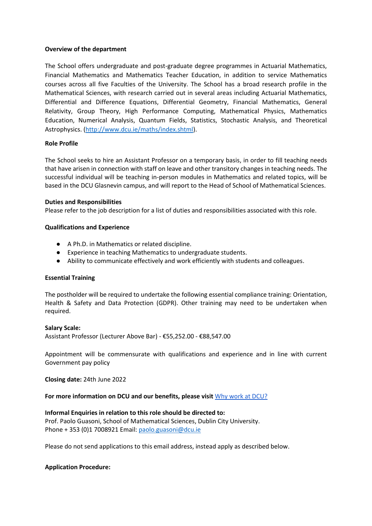### **Overview of the department**

The School offers undergraduate and post-graduate degree programmes in Actuarial Mathematics, Financial Mathematics and Mathematics Teacher Education, in addition to service Mathematics courses across all five Faculties of the University. The School has a broad research profile in the Mathematical Sciences, with research carried out in several areas including Actuarial Mathematics, Differential and Difference Equations, Differential Geometry, Financial Mathematics, General Relativity, Group Theory, High Performance Computing, Mathematical Physics, Mathematics Education, Numerical Analysis, Quantum Fields, Statistics, Stochastic Analysis, and Theoretical Astrophysics. [\(http://www.dcu.ie/maths/index.shtml\)](http://www.dcu.ie/maths/index.shtml).

### **Role Profile**

The School seeks to hire an Assistant Professor on a temporary basis, in order to fill teaching needs that have arisen in connection with staff on leave and other transitory changes in teaching needs. The successful individual will be teaching in-person modules in Mathematics and related topics, will be based in the DCU Glasnevin campus, and will report to the Head of School of Mathematical Sciences.

### **Duties and Responsibilities**

Please refer to the job description for a list of duties and responsibilities associated with this role.

### **Qualifications and Experience**

- A Ph.D. in Mathematics or related discipline.
- Experience in teaching Mathematics to undergraduate students.
- Ability to communicate effectively and work efficiently with students and colleagues.

### **Essential Training**

The postholder will be required to undertake the following essential compliance training: Orientation, Health & Safety and Data Protection (GDPR). Other training may need to be undertaken when required.

### **Salary Scale:**

Assistant Professor (Lecturer Above Bar) - €55,252.00 - €88,547.00

Appointment will be commensurate with qualifications and experience and in line with current Government pay policy

**Closing date:** 24th June 2022

### **For more information on DCU and our benefits, please visit** [Why work at DCU?](https://www.dcu.ie/hr/why-work-dcu)

### **Informal Enquiries in relation to this role should be directed to:**

Prof. Paolo Guasoni, School of Mathematical Sciences, Dublin City University. Phone + 353 (0)1 7008921 Email: [paolo.guasoni@dcu.ie](mailto:paolo.guasoni@dcu.ie)

Please do not send applications to this email address, instead apply as described below.

### **Application Procedure:**